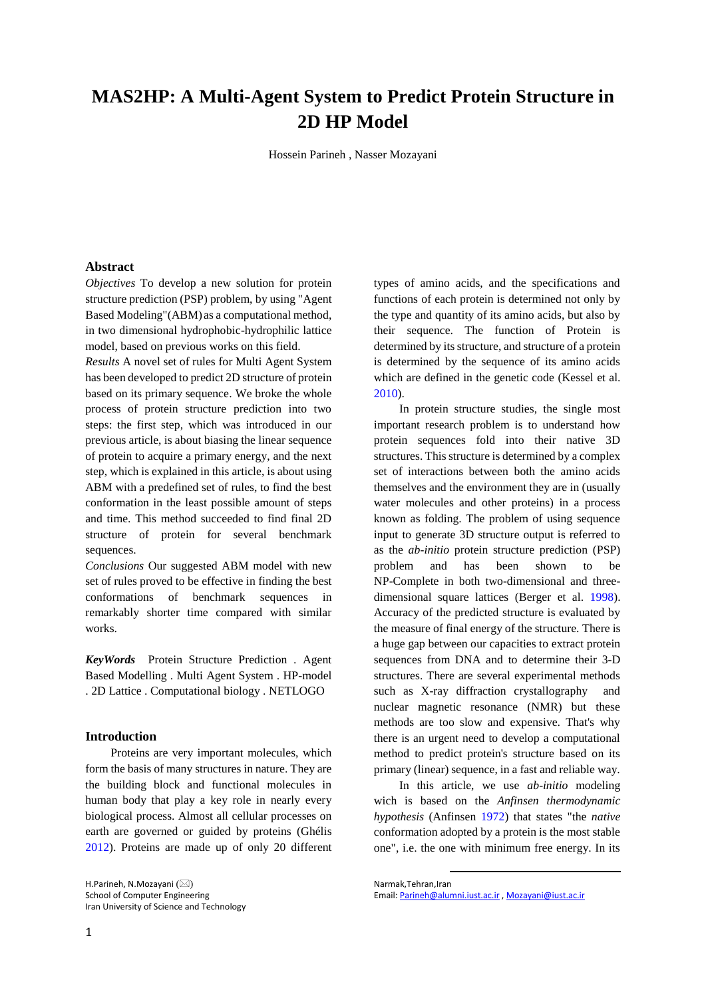# **MAS2HP: A Multi-Agent System to Predict Protein Structure in 2D HP Model**

Hossein Parineh , Nasser Mozayani

# **Abstract**

*Objectives* To develop a new solution for protein structure prediction (PSP) problem, by using "Agent Based Modeling"(ABM) as a computational method, in two dimensional hydrophobic-hydrophilic lattice model, based on previous works on this field.

*Results* A novel set of rules for Multi Agent System has been developed to predict 2D structure of protein based on its primary sequence. We broke the whole process of protein structure prediction into two steps: the first step, which was introduced in our previous article, is about biasing the linear sequence of protein to acquire a primary energy, and the next step, which is explained in this article, is about using ABM with a predefined set of rules, to find the best conformation in the least possible amount of steps and time. This method succeeded to find final 2D structure of protein for several benchmark sequences.

*Conclusions* Our suggested ABM model with new set of rules proved to be effective in finding the best conformations of benchmark sequences in remarkably shorter time compared with similar works.

*KeyWords* Protein Structure Prediction . Agent Based Modelling . Multi Agent System . HP-model . 2D Lattice . Computational biology . NETLOGO

## **Introduction**

Proteins are very important molecules, which form the basis of many structures in nature. They are the building block and functional molecules in human body that play a key role in nearly every biological process. Almost all cellular processes on earth are governed or guided by proteins (Ghélis [2012\)](#page-6-0). Proteins are made up of only 20 different

H.Parineh, N.Mozayani (⊠) School of Computer Engineering Iran University of Science and Technology types of amino acids, and the specifications and functions of each protein is determined not only by the type and quantity of its amino acids, but also by their sequence. The function of Protein is determined by its structure, and structure of a protein is determined by the sequence of its amino acids which are defined in the genetic code (Kessel et al. [2010\)](#page-6-1).

In protein structure studies, the single most important research problem is to understand how protein sequences fold into their native 3D structures. This structure is determined by a complex set of interactions between both the amino acids themselves and the environment they are in (usually water molecules and other proteins) in a process known as folding. The problem of using sequence input to generate 3D structure output is referred to as the *ab-initio* protein structure prediction (PSP) problem and has been shown to be NP-Complete in both two-dimensional and threedimensional square lattices (Berger et al. [1998\)](#page-5-0). Accuracy of the predicted structure is evaluated by the measure of final energy of the structure. There is a huge gap between our capacities to extract protein sequences from DNA and to determine their 3-D structures. There are several experimental methods such as X-ray diffraction crystallography and nuclear magnetic resonance (NMR) but these methods are too slow and expensive. That's why there is an urgent need to develop a computational method to predict protein's structure based on its primary (linear) sequence, in a fast and reliable way.

In this article, we use *ab-initio* modeling wich is based on the *Anfinsen thermodynamic hypothesis* (Anfinsen [1972\)](#page-5-1) that states "the *native* conformation adopted by a protein is the most stable one", i.e. the one with minimum free energy. In its

1

Narmak,Tehran,Iran Email[: Parineh@alumni.iust.ac.ir](mailto:Parineh@alumnimail.iust.ac.ir) [, Mozayani@iust.ac.ir](mailto:Mozayani@iust.ac.ir)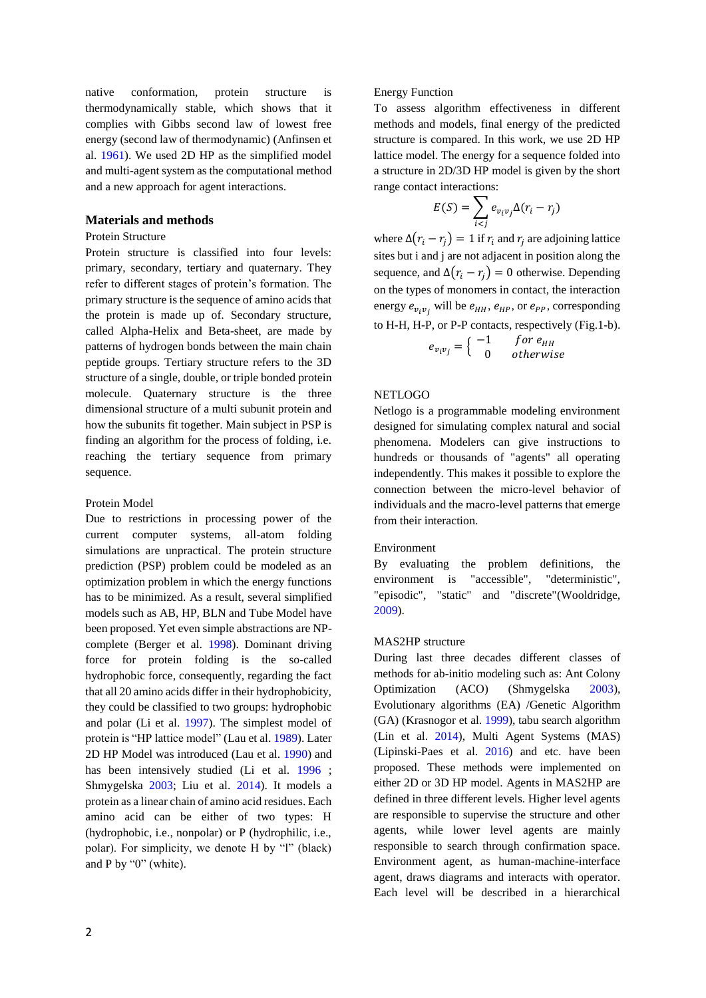native conformation, protein structure is thermodynamically stable, which shows that it complies with Gibbs second law of lowest free energy (second law of thermodynamic) (Anfinsen et al. [1961\)](#page-5-2). We used 2D HP as the simplified model and multi-agent system as the computational method and a new approach for agent interactions.

# **Materials and methods**

### Protein Structure

Protein structure is classified into four levels: primary, secondary, tertiary and quaternary. They refer to different stages of protein's formation. The primary structure is the sequence of amino acids that the protein is made up of. Secondary structure, called Alpha-Helix and Beta-sheet, are made by patterns of hydrogen bonds between the main chain peptide groups. Tertiary structure refers to the 3D structure of a single, double, or triple bonded protein molecule. Quaternary structure is the three dimensional structure of a multi subunit protein and how the subunits fit together. Main subject in PSP is finding an algorithm for the process of folding, i.e. reaching the tertiary sequence from primary sequence.

# Protein Model

Due to restrictions in processing power of the current computer systems, all-atom folding simulations are unpractical. The protein structure prediction (PSP) problem could be modeled as an optimization problem in which the energy functions has to be minimized. As a result, several simplified models such as AB, HP, BLN and Tube Model have been proposed. Yet even simple abstractions are NPcomplete (Berger et al. [1998\)](#page-5-0). Dominant driving force for protein folding is the so-called hydrophobic force, consequently, regarding the fact that all 20 amino acids differ in their hydrophobicity, they could be classified to two groups: hydrophobic and polar (Li et al. [1997\)](#page-6-2). The simplest model of protein is "HP lattice model" (Lau et al. [1989\)](#page-6-3). Later 2D HP Model was introduced (Lau et al. [1990\)](#page-6-4) and has been intensively studied (Li et al. [1996](#page-6-5) ; Shmygelska [2003;](#page-6-6) Liu et al. [2014\)](#page-6-7). It models a protein as a linear chain of amino acid residues. Each amino acid can be either of two types: H (hydrophobic, i.e., nonpolar) or P (hydrophilic, i.e., polar). For simplicity, we denote H by "l" (black) and P by "0" (white).

# Energy Function

To assess algorithm effectiveness in different methods and models, final energy of the predicted structure is compared. In this work, we use 2D HP lattice model. The energy for a sequence folded into a structure in 2D/3D HP model is given by the short range contact interactions:

$$
E(S) = \sum_{i < j} e_{v_i v_j} \Delta(r_i - r_j)
$$

where  $\Delta(r_i - r_i) = 1$  if  $r_i$  and  $r_i$  are adjoining lattice sites but i and j are not adjacent in position along the sequence, and  $\Delta(r_i - r_j) = 0$  otherwise. Depending on the types of monomers in contact, the interaction energy  $e_{v_i v_j}$  will be  $e_{HH}$ ,  $e_{HP}$ , or  $e_{PP}$ , corresponding to H-H, H-P, or P-P contacts, respectively (Fig.1-b).

$$
e_{v_i v_j} = \begin{cases} -1 & \text{for } e_{HH} \\ 0 & \text{otherwise} \end{cases}
$$

# NETLOGO

Netlogo is a programmable modeling environment designed for simulating complex natural and social phenomena. Modelers can give instructions to hundreds or thousands of "agents" all operating independently. This makes it possible to explore the connection between the micro-level behavior of individuals and the macro-level patterns that emerge from their interaction.

#### Environment

By evaluating the problem definitions, the environment is "accessible", "deterministic", "episodic", "static" and "discrete"(Wooldridge, [2009\)](#page-6-8).

#### MAS2HP structure

During last three decades different classes of methods for ab-initio modeling such as: Ant Colony Optimization (ACO) (Shmygelska [2003\)](#page-6-6), Evolutionary algorithms (EA) /Genetic Algorithm (GA) (Krasnogor et al. [1999\)](#page-6-9), tabu search algorithm (Lin et al. [2014\)](#page-6-10), Multi Agent Systems (MAS) (Lipinski-Paes et al. [2016\)](#page-6-11) and etc. have been proposed. These methods were implemented on either 2D or 3D HP model. Agents in MAS2HP are defined in three different levels. Higher level agents are responsible to supervise the structure and other agents, while lower level agents are mainly responsible to search through confirmation space. Environment agent, as human-machine-interface agent, draws diagrams and interacts with operator. Each level will be described in a hierarchical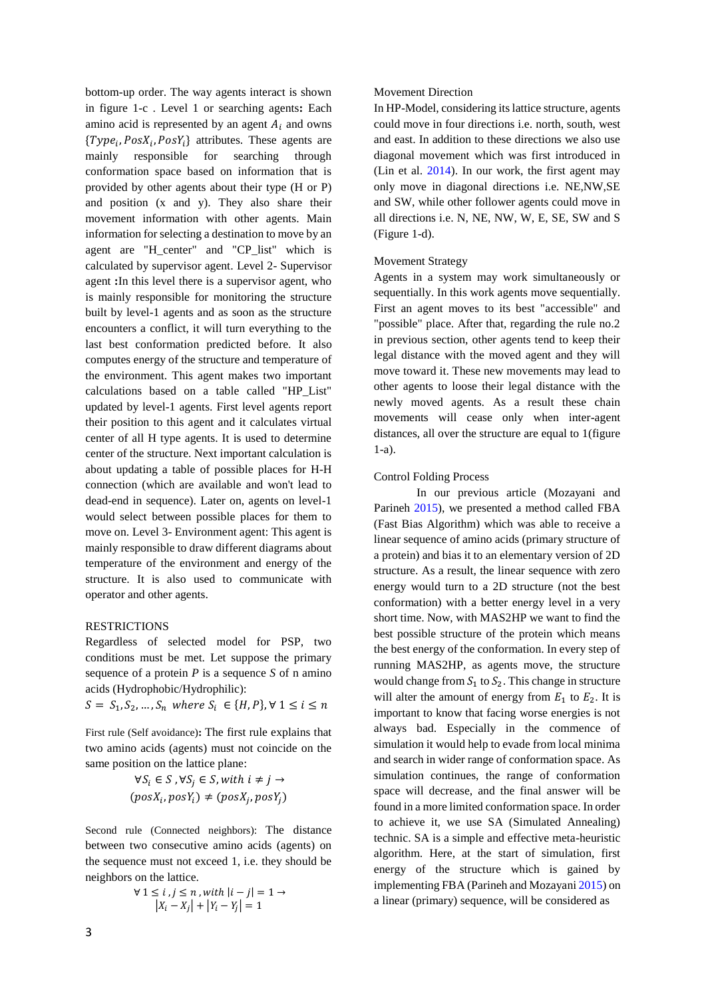bottom-up order. The way agents interact is shown in figure 1-c . Level 1 or searching agents**:** Each amino acid is represented by an agent  $A_i$  and owns  $\{Type_i, PosX_i, PosY_i\}$  attributes. These agents are mainly responsible for searching through conformation space based on information that is provided by other agents about their type (H or P) and position (x and y). They also share their movement information with other agents. Main information for selecting a destination to move by an agent are "H\_center" and "CP\_list" which is calculated by supervisor agent. Level 2- Supervisor agent **:**In this level there is a supervisor agent, who is mainly responsible for monitoring the structure built by level-1 agents and as soon as the structure encounters a conflict, it will turn everything to the last best conformation predicted before. It also computes energy of the structure and temperature of the environment. This agent makes two important calculations based on a table called "HP\_List" updated by level-1 agents. First level agents report their position to this agent and it calculates virtual center of all H type agents. It is used to determine center of the structure. Next important calculation is about updating a table of possible places for H-H connection (which are available and won't lead to dead-end in sequence). Later on, agents on level-1 would select between possible places for them to move on. Level 3- Environment agent: This agent is mainly responsible to draw different diagrams about temperature of the environment and energy of the structure. It is also used to communicate with operator and other agents.

#### RESTRICTIONS

Regardless of selected model for PSP, two conditions must be met. Let suppose the primary sequence of a protein *P* is a sequence *S* of n amino acids (Hydrophobic/Hydrophilic):

 $S = S_1, S_2, ..., S_n$  where  $S_i \in \{H, P\}, \forall \ 1 \le i \le n$ 

First rule (Self avoidance)**:** The first rule explains that two amino acids (agents) must not coincide on the same position on the lattice plane:

$$
\forall S_i \in S, \forall S_j \in S, with \ i \neq j \rightarrow
$$

$$
(posX_i, posY_i) \neq (posX_j, posY_j)
$$

Second rule (Connected neighbors): The distance between two consecutive amino acids (agents) on the sequence must not exceed 1, i.e. they should be neighbors on the lattice.

$$
\forall 1 \le i, j \le n, with \left| i - j \right| = 1 \rightarrow
$$

$$
\left| X_i - X_j \right| + \left| Y_i - Y_j \right| = 1
$$

In HP-Model, considering its lattice structure, agents could move in four directions i.e. north, south, west and east. In addition to these directions we also use diagonal movement which was first introduced in (Lin et al. [2014\)](#page-6-10). In our work, the first agent may only move in diagonal directions i.e. NE,NW,SE and SW, while other follower agents could move in all directions i.e. N, NE, NW, W, E, SE, SW and S (Figure 1-d).

#### Movement Strategy

Agents in a system may work simultaneously or sequentially. In this work agents move sequentially. First an agent moves to its best "accessible" and "possible" place. After that, regarding the rule no.2 in previous section, other agents tend to keep their legal distance with the moved agent and they will move toward it. These new movements may lead to other agents to loose their legal distance with the newly moved agents. As a result these chain movements will cease only when inter-agent distances, all over the structure are equal to 1(figure 1-a).

### Control Folding Process

In our previous article (Mozayani and Parineh [2015\)](#page-6-12), we presented a method called FBA (Fast Bias Algorithm) which was able to receive a linear sequence of amino acids (primary structure of a protein) and bias it to an elementary version of 2D structure. As a result, the linear sequence with zero energy would turn to a 2D structure (not the best conformation) with a better energy level in a very short time. Now, with MAS2HP we want to find the best possible structure of the protein which means the best energy of the conformation. In every step of running MAS2HP, as agents move, the structure would change from  $S_1$  to  $S_2$ . This change in structure will alter the amount of energy from  $E_1$  to  $E_2$ . It is important to know that facing worse energies is not always bad. Especially in the commence of simulation it would help to evade from local minima and search in wider range of conformation space. As simulation continues, the range of conformation space will decrease, and the final answer will be found in a more limited conformation space. In order to achieve it, we use SA (Simulated Annealing) technic. SA is a simple and effective meta-heuristic algorithm. Here, at the start of simulation, first energy of the structure which is gained by implementing FBA (Parineh and Mozayani [2015\)](#page-6-12) on a linear (primary) sequence, will be considered as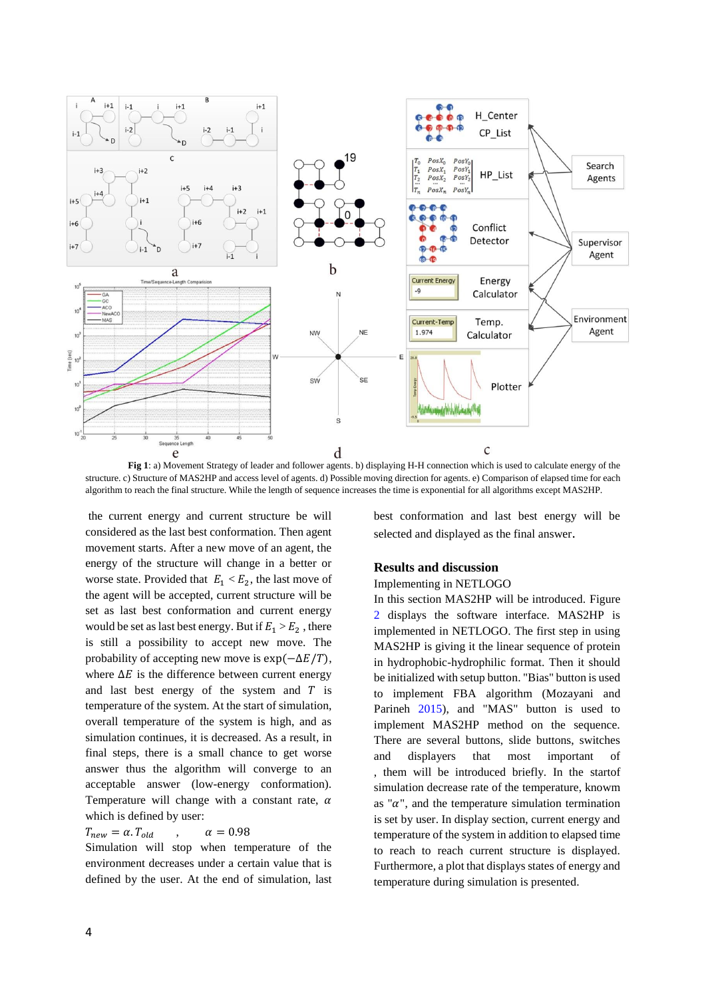

**Fig 1**: a) Movement Strategy of leader and follower agents. b) displaying H-H connection which is used to calculate energy of the structure. c) Structure of MAS2HP and access level of agents. d) Possible moving direction for agents. e) Comparison of elapsed time for each algorithm to reach the final structure. While the length of sequence increases the time is exponential for all algorithms except MAS2HP.

the current energy and current structure be will considered as the last best conformation. Then agent movement starts. After a new move of an agent, the energy of the structure will change in a better or worse state. Provided that  $E_1 < E_2$ , the last move of the agent will be accepted, current structure will be set as last best conformation and current energy would be set as last best energy. But if  $E_1 > E_2$ , there is still a possibility to accept new move. The probability of accepting new move is  $\exp(-\Delta E/T)$ , where  $\Delta E$  is the difference between current energy and last best energy of the system and  $T$  is temperature of the system. At the start of simulation, overall temperature of the system is high, and as simulation continues, it is decreased. As a result, in final steps, there is a small chance to get worse answer thus the algorithm will converge to an acceptable answer (low-energy conformation). Temperature will change with a constant rate,  $\alpha$ which is defined by user:

#### $T_{new} = \alpha. T_{old}$ ,  $\alpha = 0.98$

Simulation will stop when temperature of the environment decreases under a certain value that is defined by the user. At the end of simulation, last best conformation and last best energy will be selected and displayed as the final answer.

#### **Results and discussion**

# Implementing in NETLOGO

In this section MAS2HP will be introduced. Figure [2](#page-5-3) displays the software interface. MAS2HP is implemented in NETLOGO. The first step in using MAS2HP is giving it the linear sequence of protein in hydrophobic-hydrophilic format. Then it should be initialized with setup button. "Bias" button is used to implement FBA algorithm (Mozayani and Parineh [2015\)](#page-6-12), and "MAS" button is used to implement MAS2HP method on the sequence. There are several buttons, slide buttons, switches and displayers that most important of , them will be introduced briefly. In the startof simulation decrease rate of the temperature, knowm as " $\alpha$ ", and the temperature simulation termination is set by user. In display section, current energy and temperature of the system in addition to elapsed time to reach to reach current structure is displayed. Furthermore, a plot that displays states of energy and temperature during simulation is presented.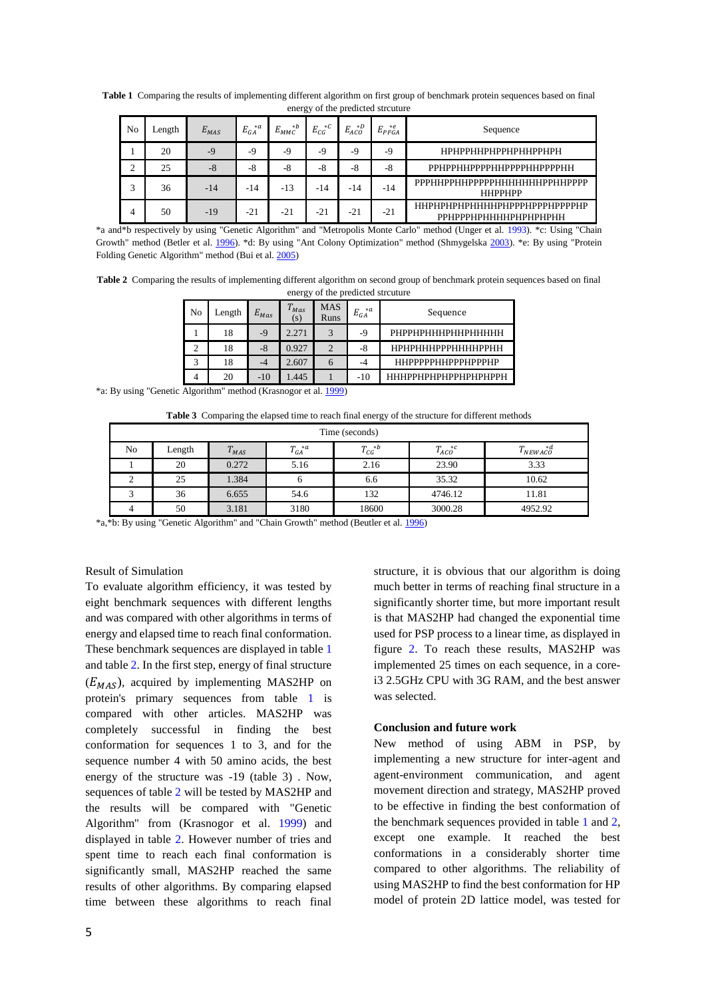| $\frac{1}{2}$ of the predicted streams |        |           |                     |                    |                    |                        |            |                                                      |  |
|----------------------------------------|--------|-----------|---------------------|--------------------|--------------------|------------------------|------------|------------------------------------------------------|--|
| No                                     | Length | $E_{MAS}$ | $* a$<br>$E_{GA}^*$ | $* b$<br>$E_{MMC}$ | $*c$<br>$E_{CG}^*$ | $*D$<br>$E_{ACO}^{*L}$ | $E_{PFGA}$ | Sequence                                             |  |
|                                        | 20     | $-9$      | -9                  | -9                 | $-9$               | -9                     | $-9$       | НРНРРННРНРРНРННРРНРН                                 |  |
| ◠                                      | 25     | $-8$      | $-8$                | -8                 | $-8$               | $-8$                   | $-8$       | РРНРРННРРРРННРРРРННРРРРНН                            |  |
| 3                                      | 36     | $-14$     | -14                 | $-13$              | -14                | -14                    | $-14$      | РРРННРРННРРРРРНННННННРРННРРРР<br><b>HHPPHPP</b>      |  |
| 4                                      | 50     | $-19$     | $-21$               | $-21$              | $-21$              | $-21$                  | $-21$      | ННРНРНРНРННННРНРРРНРРРРРРРР<br>РРНРРРНРННННРНРНРНРНН |  |

<span id="page-4-0"></span>**Table 1** Comparing the results of implementing different algorithm on first group of benchmark protein sequences based on final energy of the predicted strouture

\*a and\*b respectively by using "Genetic Algorithm" and "Metropolis Monte Carlo" method (Unger et al. [1993\)](#page-6-13). \*c: Using "Chain Growth" method (Betler et al. [1996\)](#page-5-4). \*d: By using "Ant Colony Optimization" method (Shmygelska [2003\)](#page-6-6). \*e: By using "Protein Folding Genetic Algorithm" method (Bui et al[. 2005\)](#page-5-5)

<span id="page-4-1"></span>**Table 2** Comparing the results of implementing different algorithm on second group of benchmark protein sequences based on final energy of the predicted strcuture

| No | Length | $E_{Mas}$ | $T_{Mas}$<br>(s) | <b>MAS</b><br>Runs | $*a$  | Sequence                  |  |
|----|--------|-----------|------------------|--------------------|-------|---------------------------|--|
|    | 18     | $-9$      | 2.271            | $\mathbf{\Omega}$  | -9    | РНРРНРНННРННРННННН        |  |
|    | 18     | $-8$      | 0.927            |                    | -8    | НРНРНННРРРННННРРНН        |  |
|    | 18     | -4        | 2.607            | <sub>(</sub>       | -4    | <b>ННРРРРРННРРРНРРРНР</b> |  |
|    | 20     | $-10$     | .445             |                    | $-10$ | НННРРНРНРНРРНРНРНРРН      |  |

\*a: By using "Genetic Algorithm" method (Krasnogor et al. [1999\)](#page-6-9)

**Table 3** Comparing the elapsed time to reach final energy of the structure for different methods

| Time (seconds) |        |           |                  |                 |                |                  |  |  |  |
|----------------|--------|-----------|------------------|-----------------|----------------|------------------|--|--|--|
| No             | Length | $T_{MAS}$ | $T_{GA}^{\ a a}$ | $T_{CG}^{\ *b}$ | $T_{ACO}^{*c}$ | *d<br>$'$ NEWACO |  |  |  |
|                | 20     | 0.272     | 5.16             | 2.16            | 23.90          | 3.33             |  |  |  |
|                | 25     | 1.384     | 6                | 6.6             | 35.32          | 10.62            |  |  |  |
|                | 36     | 6.655     | 54.6             | 132             | 4746.12        | 11.81            |  |  |  |
|                | 50     | 3.181     | 3180             | 18600           | 3000.28        | 4952.92          |  |  |  |

\*a,\*b: By using "Genetic Algorithm" and "Chain Growth" method (Beutler et al[. 1996\)](#page-5-4)

# Result of Simulation

To evaluate algorithm efficiency, it was tested by eight benchmark sequences with different lengths and was compared with other algorithms in terms of energy and elapsed time to reach final conformation. These benchmark sequences are displayed in table [1](#page-4-0) and tabl[e 2.](#page-4-1) In the first step, energy of final structure  $(E_{MAS})$ , acquired by implementing MAS2HP on protein's primary sequences from table [1](#page-4-0) is compared with other articles. MAS2HP was completely successful in finding the best conformation for sequences 1 to 3, and for the sequence number 4 with 50 amino acids, the best energy of the structure was -19 (table 3) . Now, sequences of table [2](#page-4-1) will be tested by MAS2HP and the results will be compared with "Genetic Algorithm" from (Krasnogor et al. [1999\)](#page-6-9) and displayed in table [2.](#page-4-1) However number of tries and spent time to reach each final conformation is significantly small, MAS2HP reached the same results of other algorithms. By comparing elapsed time between these algorithms to reach final

structure, it is obvious that our algorithm is doing much better in terms of reaching final structure in a significantly shorter time, but more important result is that MAS2HP had changed the exponential time used for PSP process to a linear time, as displayed in figure [2.](#page-5-3) To reach these results, MAS2HP was implemented 25 times on each sequence, in a corei3 2.5GHz CPU with 3G RAM, and the best answer was selected.

#### **Conclusion and future work**

New method of using ABM in PSP, by implementing a new structure for inter-agent and agent-environment communication, and agent movement direction and strategy, MAS2HP proved to be effective in finding the best conformation of the benchmark sequences provided in table [1](#page-4-0) and [2,](#page-4-1) except one example. It reached the best conformations in a considerably shorter time compared to other algorithms. The reliability of using MAS2HP to find the best conformation for HP model of protein 2D lattice model, was tested for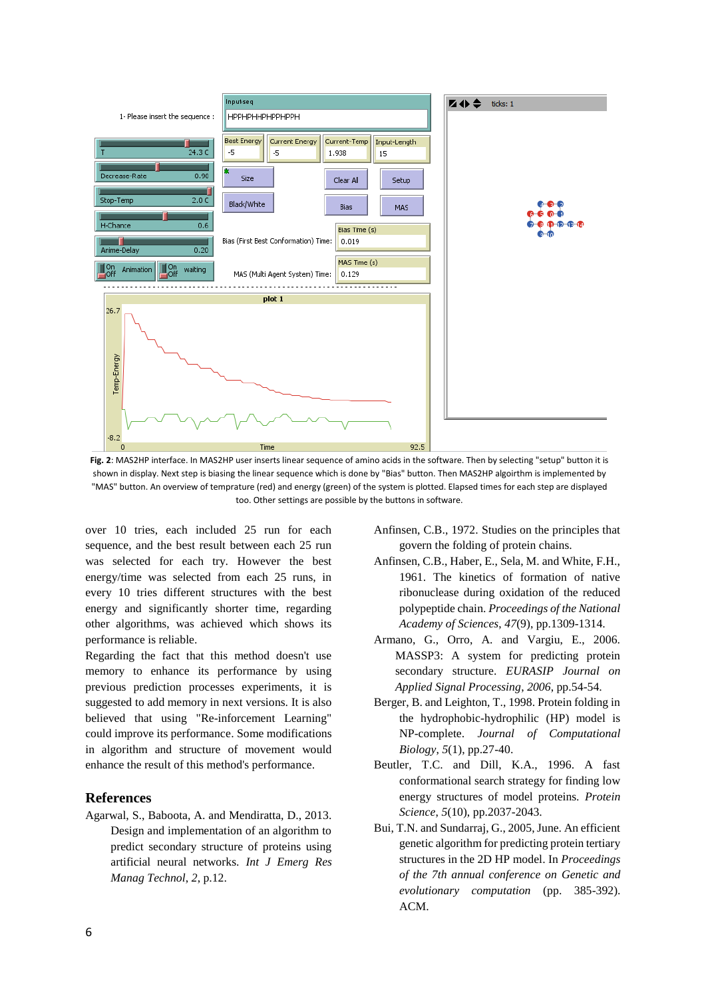

<span id="page-5-3"></span>**Fig. 2**: MAS2HP interface. In MAS2HP user inserts linear sequence of amino acids in the software. Then by selecting "setup" button it is shown in display. Next step is biasing the linear sequence which is done by "Bias" button. Then MAS2HP algoirthm is implemented by "MAS" button. An overview of temprature (red) and energy (green) of the system is plotted. Elapsed times for each step are displayed too. Other settings are possible by the buttons in software.

over 10 tries, each included 25 run for each sequence, and the best result between each 25 run was selected for each try. However the best energy/time was selected from each 25 runs, in every 10 tries different structures with the best energy and significantly shorter time, regarding other algorithms, was achieved which shows its performance is reliable.

Regarding the fact that this method doesn't use memory to enhance its performance by using previous prediction processes experiments, it is suggested to add memory in next versions. It is also believed that using "Re-inforcement Learning" could improve its performance. Some modifications in algorithm and structure of movement would enhance the result of this method's performance.

# **References**

<span id="page-5-1"></span>Agarwal, S., Baboota, A. and Mendiratta, D., 2013. Design and implementation of an algorithm to predict secondary structure of proteins using artificial neural networks. *Int J Emerg Res Manag Technol*, *2*, p.12.

- Anfinsen, C.B., 1972. Studies on the principles that govern the folding of protein chains.
- <span id="page-5-2"></span>Anfinsen, C.B., Haber, E., Sela, M. and White, F.H., 1961. The kinetics of formation of native ribonuclease during oxidation of the reduced polypeptide chain. *Proceedings of the National Academy of Sciences*, *47*(9), pp.1309-1314.
- Armano, G., Orro, A. and Vargiu, E., 2006. MASSP3: A system for predicting protein secondary structure. *EURASIP Journal on Applied Signal Processing*, *2006*, pp.54-54.
- <span id="page-5-0"></span>Berger, B. and Leighton, T., 1998. Protein folding in the hydrophobic-hydrophilic (HP) model is NP-complete. *Journal of Computational Biology*, *5*(1), pp.27-40.
- <span id="page-5-4"></span>Beutler, T.C. and Dill, K.A., 1996. A fast conformational search strategy for finding low energy structures of model proteins. *Protein Science*, *5*(10), pp.2037-2043.
- <span id="page-5-5"></span>Bui, T.N. and Sundarraj, G., 2005, June. An efficient genetic algorithm for predicting protein tertiary structures in the 2D HP model. In *Proceedings of the 7th annual conference on Genetic and evolutionary computation* (pp. 385-392). ACM.